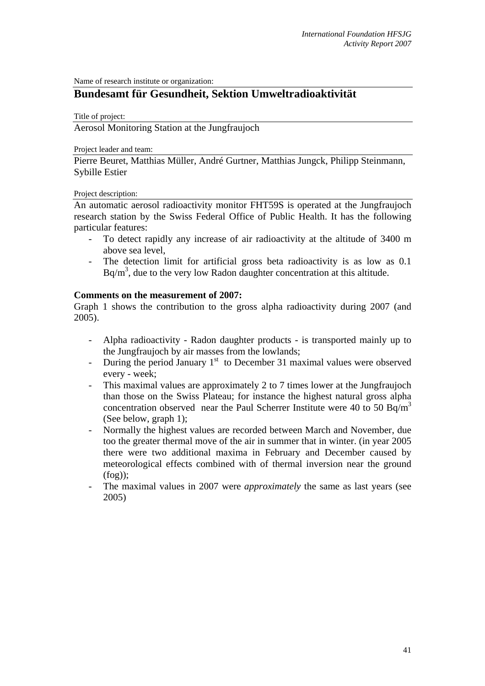Name of research institute or organization:

# **Bundesamt für Gesundheit, Sektion Umweltradioaktivität**

Title of project:

Aerosol Monitoring Station at the Jungfraujoch

Project leader and team:

Pierre Beuret, Matthias Müller, André Gurtner, Matthias Jungck, Philipp Steinmann, Sybille Estier

#### Project description:

An automatic aerosol radioactivity monitor FHT59S is operated at the Jungfraujoch research station by the Swiss Federal Office of Public Health. It has the following particular features:

- To detect rapidly any increase of air radioactivity at the altitude of 3400 m above sea level,
- The detection limit for artificial gross beta radioactivity is as low as 0.1  $Bq/m<sup>3</sup>$ , due to the very low Radon daughter concentration at this altitude.

### **Comments on the measurement of 2007:**

Graph 1 shows the contribution to the gross alpha radioactivity during 2007 (and 2005).

- Alpha radioactivity Radon daughter products is transported mainly up to the Jungfraujoch by air masses from the lowlands;
- During the period January  $1<sup>st</sup>$  to December 31 maximal values were observed every - week;
- This maximal values are approximately 2 to 7 times lower at the Jungfraujoch than those on the Swiss Plateau; for instance the highest natural gross alpha concentration observed near the Paul Scherrer Institute were 40 to 50 Bq/m<sup>3</sup> (See below, graph 1);
- Normally the highest values are recorded between March and November, due too the greater thermal move of the air in summer that in winter. (in year 2005 there were two additional maxima in February and December caused by meteorological effects combined with of thermal inversion near the ground (fog));
- The maximal values in 2007 were *approximately* the same as last years (see 2005)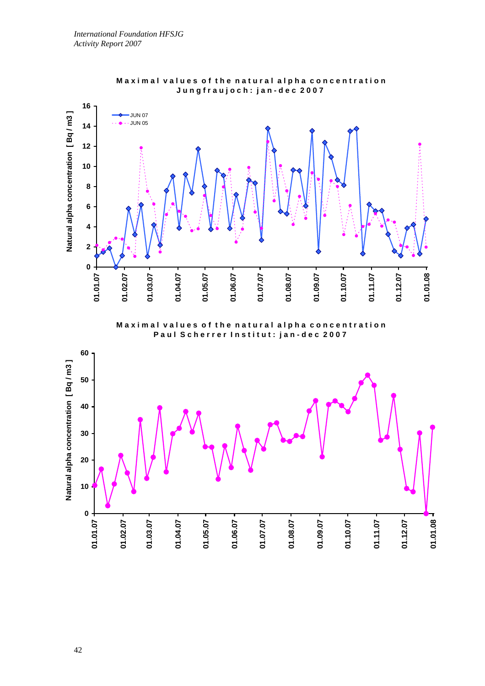



**Maximal values of the natural alpha concentration** Paul Scherrer Institut: jan-dec 2007

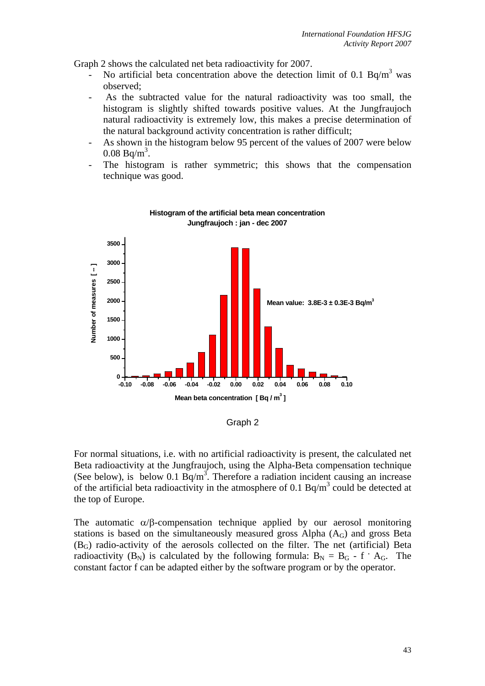Graph 2 shows the calculated net beta radioactivity for 2007.

- No artificial beta concentration above the detection limit of 0.1  $Bq/m<sup>3</sup>$  was observed;
- As the subtracted value for the natural radioactivity was too small, the histogram is slightly shifted towards positive values. At the Jungfraujoch natural radioactivity is extremely low, this makes a precise determination of the natural background activity concentration is rather difficult;
- As shown in the histogram below 95 percent of the values of 2007 were below  $0.08 \text{ Bq/m}^3$ .
- The histogram is rather symmetric; this shows that the compensation technique was good.



#### **Histogram of the artificial beta mean concentration Jungfraujoch : jan - dec 2007**

Graph 2

For normal situations, i.e. with no artificial radioactivity is present, the calculated net Beta radioactivity at the Jungfraujoch, using the Alpha-Beta compensation technique (See below), is below 0.1  $\overline{Bq/m^3}$ . Therefore a radiation incident causing an increase of the artificial beta radioactivity in the atmosphere of 0.1 Bq/m<sup>3</sup> could be detected at the top of Europe.

The automatic  $\alpha/\beta$ -compensation technique applied by our aerosol monitoring stations is based on the simultaneously measured gross Alpha  $(A_G)$  and gross Beta (BG) radio-activity of the aerosols collected on the filter. The net (artificial) Beta radioactivity  $(B_N)$  is calculated by the following formula:  $B_N = B_G - f \cdot A_G$ . The constant factor f can be adapted either by the software program or by the operator.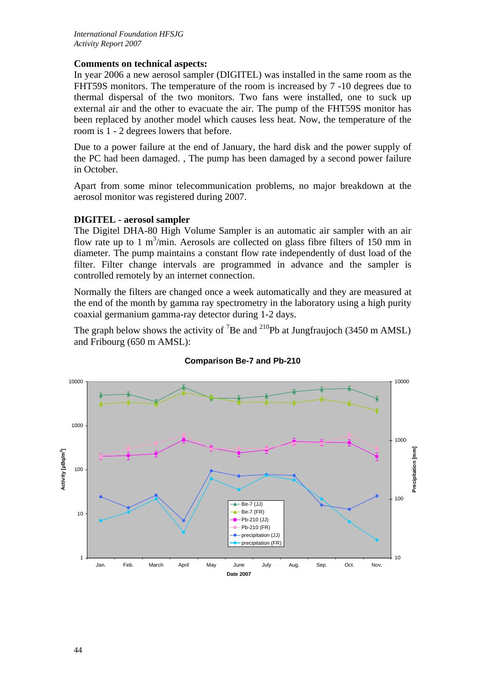## **Comments on technical aspects:**

In year 2006 a new aerosol sampler (DIGITEL) was installed in the same room as the FHT59S monitors. The temperature of the room is increased by 7 -10 degrees due to thermal dispersal of the two monitors. Two fans were installed, one to suck up external air and the other to evacuate the air. The pump of the FHT59S monitor has been replaced by another model which causes less heat. Now, the temperature of the room is 1 - 2 degrees lowers that before.

Due to a power failure at the end of January, the hard disk and the power supply of the PC had been damaged. , The pump has been damaged by a second power failure in October.

Apart from some minor telecommunication problems, no major breakdown at the aerosol monitor was registered during 2007.

## **DIGITEL - aerosol sampler**

The Digitel DHA-80 High Volume Sampler is an automatic air sampler with an air flow rate up to 1  $m^3/m$ in. Aerosols are collected on glass fibre filters of 150 mm in diameter. The pump maintains a constant flow rate independently of dust load of the filter. Filter change intervals are programmed in advance and the sampler is controlled remotely by an internet connection.

Normally the filters are changed once a week automatically and they are measured at the end of the month by gamma ray spectrometry in the laboratory using a high purity coaxial germanium gamma-ray detector during 1-2 days.

The graph below shows the activity of <sup>7</sup>Be and <sup>210</sup>Pb at Jungfraujoch (3450 m AMSL) and Fribourg (650 m AMSL):



#### **Comparison Be-7 and Pb-210**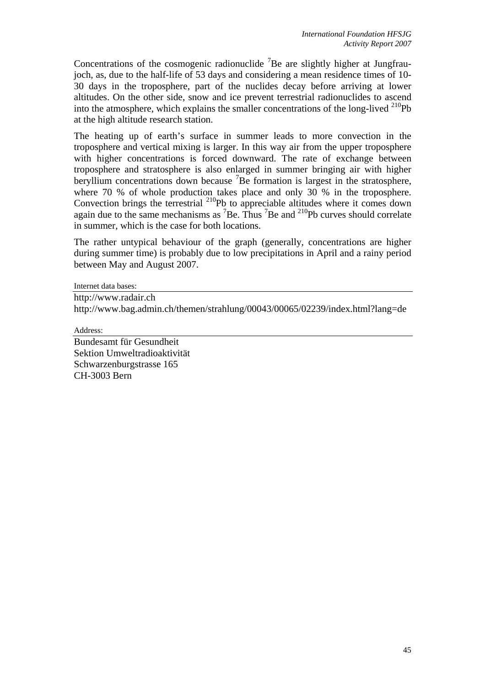Concentrations of the cosmogenic radionuclide  ${}^{7}$ Be are slightly higher at Jungfraujoch, as, due to the half-life of 53 days and considering a mean residence times of 10- 30 days in the troposphere, part of the nuclides decay before arriving at lower altitudes. On the other side, snow and ice prevent terrestrial radionuclides to ascend into the atmosphere, which explains the smaller concentrations of the long-lived  $^{210}Pb$ at the high altitude research station.

The heating up of earth's surface in summer leads to more convection in the troposphere and vertical mixing is larger. In this way air from the upper troposphere with higher concentrations is forced downward. The rate of exchange between troposphere and stratosphere is also enlarged in summer bringing air with higher beryllium concentrations down because <sup>7</sup> Be formation is largest in the stratosphere, where 70 % of whole production takes place and only 30 % in the troposphere. Convection brings the terrestrial  $^{210}$ Pb to appreciable altitudes where it comes down again due to the same mechanisms as  ${}^{7}Be$ . Thus  ${}^{7}Be$  and  ${}^{210}Pb$  curves should correlate in summer, which is the case for both locations.

The rather untypical behaviour of the graph (generally, concentrations are higher during summer time) is probably due to low precipitations in April and a rainy period between May and August 2007.

Internet data bases:

http://www.radair.ch http://www.bag.admin.ch/themen/strahlung/00043/00065/02239/index.html?lang=de

Address:

Bundesamt für Gesundheit Sektion Umweltradioaktivität Schwarzenburgstrasse 165 CH-3003 Bern